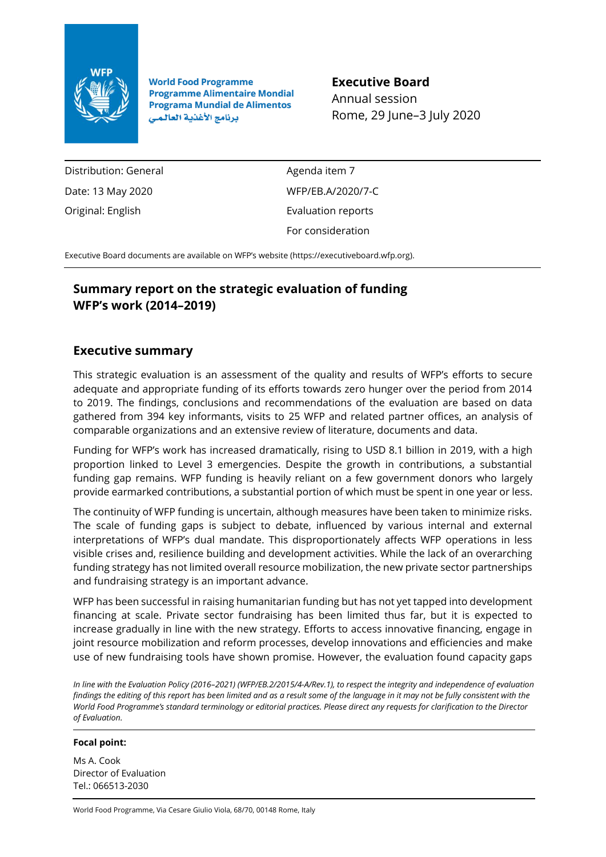

**World Food Programme Programme Alimentaire Mondial Programa Mundial de Alimentos** برنامج الأغذية العالمي

**Executive Board** Annual session

Rome, 29 June–3 July 2020

Distribution: General Date: 13 May 2020 Original: English

Agenda item 7 WFP/EB.A/2020/7-C Evaluation reports For consideration

Executive Board documents are available on WFP's website [\(https://executiveboard.wfp.org\)](https://executiveboard.wfp.org/).

# **Summary report on the strategic evaluation of funding WFP's work (2014–2019)**

## **Executive summary**

This strategic evaluation is an assessment of the quality and results of WFP's efforts to secure adequate and appropriate funding of its efforts towards zero hunger over the period from 2014 to 2019. The findings, conclusions and recommendations of the evaluation are based on data gathered from 394 key informants, visits to 25 WFP and related partner offices, an analysis of comparable organizations and an extensive review of literature, documents and data.

Funding for WFP's work has increased dramatically, rising to USD 8.1 billion in 2019, with a high proportion linked to Level 3 emergencies. Despite the growth in contributions, a substantial funding gap remains. WFP funding is heavily reliant on a few government donors who largely provide earmarked contributions, a substantial portion of which must be spent in one year or less.

The continuity of WFP funding is uncertain, although measures have been taken to minimize risks. The scale of funding gaps is subject to debate, influenced by various internal and external interpretations of WFP's dual mandate. This disproportionately affects WFP operations in less visible crises and, resilience building and development activities. While the lack of an overarching funding strategy has not limited overall resource mobilization, the new private sector partnerships and fundraising strategy is an important advance.

WFP has been successful in raising humanitarian funding but has not yet tapped into development financing at scale. Private sector fundraising has been limited thus far, but it is expected to increase gradually in line with the new strategy. Efforts to access innovative financing, engage in joint resource mobilization and reform processes, develop innovations and efficiencies and make use of new fundraising tools have shown promise. However, the evaluation found capacity gaps

*In line with the Evaluation Policy (2016–2021) (WFP/EB.2/2015/4-A/Rev.1), to respect the integrity and independence of evaluation findings the editing of this report has been limited and as a result some of the language in it may not be fully consistent with the World Food Programme's standard terminology or editorial practices. Please direct any requests for clarification to the Director of Evaluation.*

#### **Focal point:**

Ms A. Cook Director of Evaluation Tel.: 066513-2030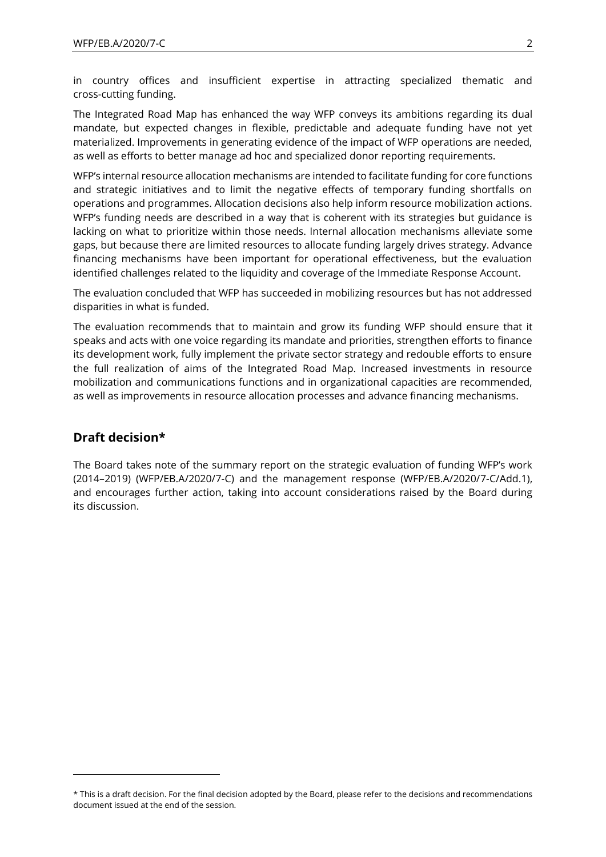in country offices and insufficient expertise in attracting specialized thematic and cross-cutting funding.

The Integrated Road Map has enhanced the way WFP conveys its ambitions regarding its dual mandate, but expected changes in flexible, predictable and adequate funding have not yet materialized. Improvements in generating evidence of the impact of WFP operations are needed, as well as efforts to better manage ad hoc and specialized donor reporting requirements.

WFP's internal resource allocation mechanisms are intended to facilitate funding for core functions and strategic initiatives and to limit the negative effects of temporary funding shortfalls on operations and programmes. Allocation decisions also help inform resource mobilization actions. WFP's funding needs are described in a way that is coherent with its strategies but guidance is lacking on what to prioritize within those needs. Internal allocation mechanisms alleviate some gaps, but because there are limited resources to allocate funding largely drives strategy. Advance financing mechanisms have been important for operational effectiveness, but the evaluation identified challenges related to the liquidity and coverage of the Immediate Response Account.

The evaluation concluded that WFP has succeeded in mobilizing resources but has not addressed disparities in what is funded.

The evaluation recommends that to maintain and grow its funding WFP should ensure that it speaks and acts with one voice regarding its mandate and priorities, strengthen efforts to finance its development work, fully implement the private sector strategy and redouble efforts to ensure the full realization of aims of the Integrated Road Map. Increased investments in resource mobilization and communications functions and in organizational capacities are recommended, as well as improvements in resource allocation processes and advance financing mechanisms.

#### **Draft decision\***

The Board takes note of the summary report on the strategic evaluation of funding WFP's work (2014–2019) (WFP/EB.A/2020/7-C) and the management response (WFP/EB.A/2020/7-C/Add.1), and encourages further action, taking into account considerations raised by the Board during its discussion.

<sup>\*</sup> This is a draft decision. For the final decision adopted by the Board, please refer to the decisions and recommendations document issued at the end of the session.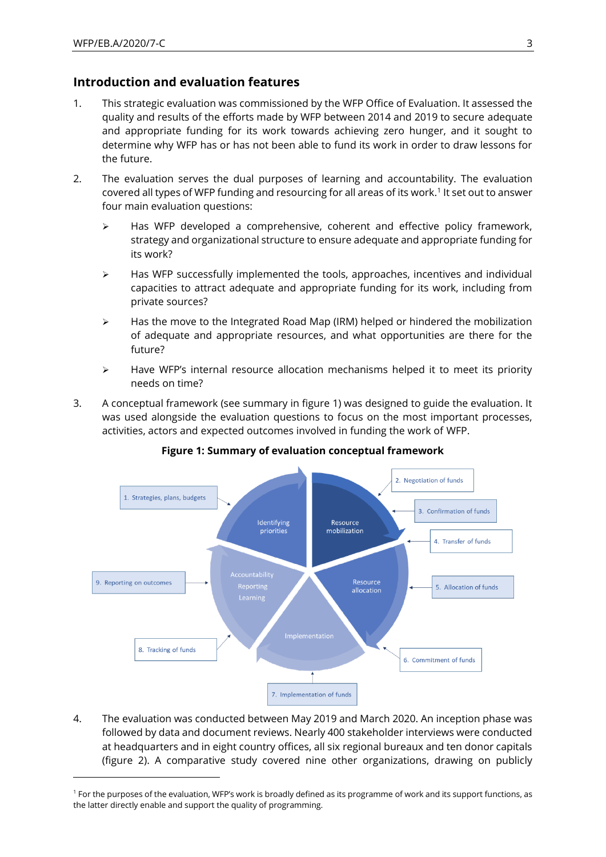## **Introduction and evaluation features**

- 1. This strategic evaluation was commissioned by the WFP Office of Evaluation. It assessed the quality and results of the efforts made by WFP between 2014 and 2019 to secure adequate and appropriate funding for its work towards achieving zero hunger, and it sought to determine why WFP has or has not been able to fund its work in order to draw lessons for the future.
- 2. The evaluation serves the dual purposes of learning and accountability. The evaluation covered all types of WFP funding and resourcing for all areas of its work.<sup>1</sup> It set out to answer four main evaluation questions:
	- ➢ Has WFP developed a comprehensive, coherent and effective policy framework, strategy and organizational structure to ensure adequate and appropriate funding for its work?
	- $\triangleright$  Has WFP successfully implemented the tools, approaches, incentives and individual capacities to attract adequate and appropriate funding for its work, including from private sources?
	- $\triangleright$  Has the move to the Integrated Road Map (IRM) helped or hindered the mobilization of adequate and appropriate resources, and what opportunities are there for the future?
	- $\triangleright$  Have WFP's internal resource allocation mechanisms helped it to meet its priority needs on time?
- 3. A conceptual framework (see summary in figure 1) was designed to guide the evaluation. It was used alongside the evaluation questions to focus on the most important processes, activities, actors and expected outcomes involved in funding the work of WFP.



#### **Figure 1: Summary of evaluation conceptual framework**

4. The evaluation was conducted between May 2019 and March 2020. An inception phase was followed by data and document reviews. Nearly 400 stakeholder interviews were conducted at headquarters and in eight country offices, all six regional bureaux and ten donor capitals (figure 2). A comparative study covered nine other organizations, drawing on publicly

<sup>1</sup> For the purposes of the evaluation, WFP's work is broadly defined as its programme of work and its support functions, as the latter directly enable and support the quality of programming.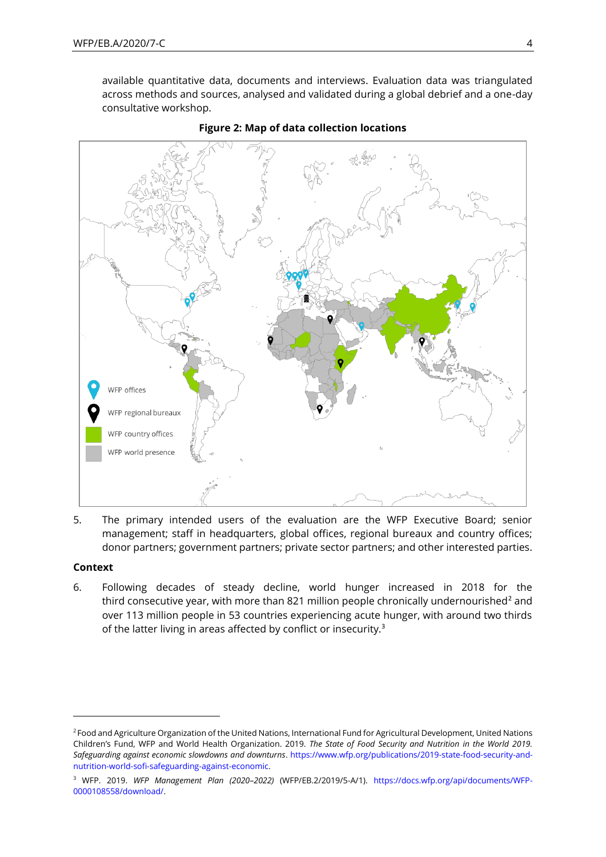available quantitative data, documents and interviews. Evaluation data was triangulated across methods and sources, analysed and validated during a global debrief and a one-day consultative workshop.





5. The primary intended users of the evaluation are the WFP Executive Board; senior management; staff in headquarters, global offices, regional bureaux and country offices; donor partners; government partners; private sector partners; and other interested parties.

#### **Context**

6. Following decades of steady decline, world hunger increased in 2018 for the third consecutive year, with more than 821 million people chronically undernourished<sup>2</sup> and over 113 million people in 53 countries experiencing acute hunger, with around two thirds of the latter living in areas affected by conflict or insecurity.<sup>3</sup>

<sup>&</sup>lt;sup>2</sup> Food and Agriculture Organization of the United Nations, International Fund for Agricultural Development, United Nations Children's Fund, WFP and World Health Organization. 2019. *The State of Food Security and Nutrition in the World 2019. Safeguarding against economic slowdowns and downturns*. [https://www.wfp.org/publications/2019-state-food-security-and](https://www.wfp.org/publications/2019-state-food-security-and-nutrition-world-sofi-safeguarding-against-economic)[nutrition-world-sofi-safeguarding-against-economic.](https://www.wfp.org/publications/2019-state-food-security-and-nutrition-world-sofi-safeguarding-against-economic)

<sup>3</sup> WFP. 2019. *WFP Management Plan (2020–2022)* (WFP/EB.2/2019/5-A/1). [https://docs.wfp.org/api/documents/WFP-](https://docs.wfp.org/api/documents/WFP-0000108558/download/)[0000108558/download/.](https://docs.wfp.org/api/documents/WFP-0000108558/download/)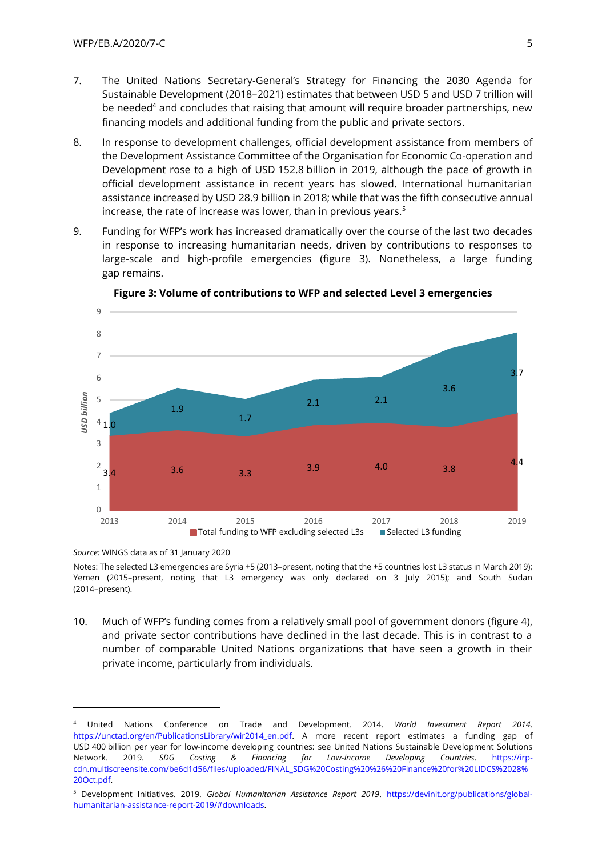- 7. The United Nations Secretary-General's Strategy for Financing the 2030 Agenda for Sustainable Development (2018–2021) estimates that between USD 5 and USD 7 trillion will be needed<sup>4</sup> and concludes that raising that amount will require broader partnerships, new financing models and additional funding from the public and private sectors.
- 8. In response to development challenges, official development assistance from members of the Development Assistance Committee of the Organisation for Economic Co-operation and Development rose to a high of USD 152.8 billion in 2019, although the pace of growth in official development assistance in recent years has slowed. International humanitarian assistance increased by USD 28.9 billion in 2018; while that was the fifth consecutive annual increase, the rate of increase was lower, than in previous years.<sup>5</sup>
- 9. Funding for WFP's work has increased dramatically over the course of the last two decades in response to increasing humanitarian needs, driven by contributions to responses to large-scale and high-profile emergencies (figure 3). Nonetheless, a large funding gap remains.



**Figure 3: Volume of contributions to WFP and selected Level 3 emergencies**

*Source:* WINGS data as of 31 January 2020

Notes: The selected L3 emergencies are Syria +5 (2013–present, noting that the +5 countries lost L3 status in March 2019); Yemen (2015–present, noting that L3 emergency was only declared on 3 July 2015); and South Sudan (2014–present).

10. Much of WFP's funding comes from a relatively small pool of government donors (figure 4), and private sector contributions have declined in the last decade. This is in contrast to a number of comparable United Nations organizations that have seen a growth in their private income, particularly from individuals.

<sup>4</sup> United Nations Conference on Trade and Development. 2014. *World Investment Report 2014*. [https://unctad.org/en/PublicationsLibrary/wir2014\\_en.pdf.](https://unctad.org/en/PublicationsLibrary/wir2014_en.pdf) A more recent report estimates a funding gap of USD 400 billion per year for low-income developing countries: see United Nations Sustainable Development Solutions Network. 2019. *SDG Costing & Financing for Low-Income Developing Countries*. [https://irp](https://irp-cdn.multiscreensite.com/be6d1d56/files/uploaded/FINAL_SDG%20Costing%20%26%20Finance%20for%20LIDCS%2028%20Oct.pdf)[cdn.multiscreensite.com/be6d1d56/files/uploaded/FINAL\\_SDG%20Costing%20%26%20Finance%20for%20LIDCS%2028%](https://irp-cdn.multiscreensite.com/be6d1d56/files/uploaded/FINAL_SDG%20Costing%20%26%20Finance%20for%20LIDCS%2028%20Oct.pdf) [20Oct.pdf.](https://irp-cdn.multiscreensite.com/be6d1d56/files/uploaded/FINAL_SDG%20Costing%20%26%20Finance%20for%20LIDCS%2028%20Oct.pdf)

<sup>5</sup> Development Initiatives. 2019. *Global Humanitarian Assistance Report 2019*. [https://devinit.org/publications/global](https://devinit.org/publications/global-humanitarian-assistance-report-2019/#downloads)[humanitarian-assistance-report-2019/#downloads.](https://devinit.org/publications/global-humanitarian-assistance-report-2019/#downloads)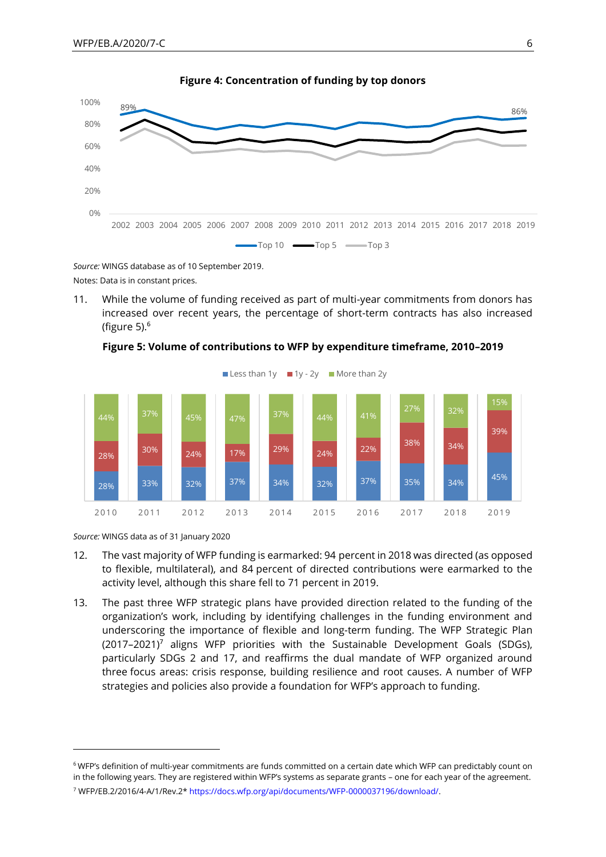

**Figure 4: Concentration of funding by top donors**

*Source:* WINGS database as of 10 September 2019. Notes: Data is in constant prices.

11. While the volume of funding received as part of multi-year commitments from donors has increased over recent years, the percentage of short-term contracts has also increased (figure  $5$ ). $<sup>6</sup>$ </sup>



**Figure 5: Volume of contributions to WFP by expenditure timeframe, 2010–2019**

*Source:* WINGS data as of 31 January 2020

- 12. The vast majority of WFP funding is earmarked: 94 percent in 2018 was directed (as opposed to flexible, multilateral), and 84 percent of directed contributions were earmarked to the activity level, although this share fell to 71 percent in 2019.
- 13. The past three WFP strategic plans have provided direction related to the funding of the organization's work, including by identifying challenges in the funding environment and underscoring the importance of flexible and long-term funding. The WFP Strategic Plan  $(2017-2021)^7$  aligns WFP priorities with the Sustainable Development Goals (SDGs), particularly SDGs 2 and 17, and reaffirms the dual mandate of WFP organized around three focus areas: crisis response, building resilience and root causes. A number of WFP strategies and policies also provide a foundation for WFP's approach to funding.

<sup>6</sup> WFP's definition of multi-year commitments are funds committed on a certain date which WFP can predictably count on in the following years. They are registered within WFP's systems as separate grants – one for each year of the agreement. <sup>7</sup> WFP/EB.2/2016/4-A/1/Rev.2[\\* https://docs.wfp.org/api/documents/WFP-0000037196/download/.](https://docs.wfp.org/api/documents/WFP-0000037196/download/)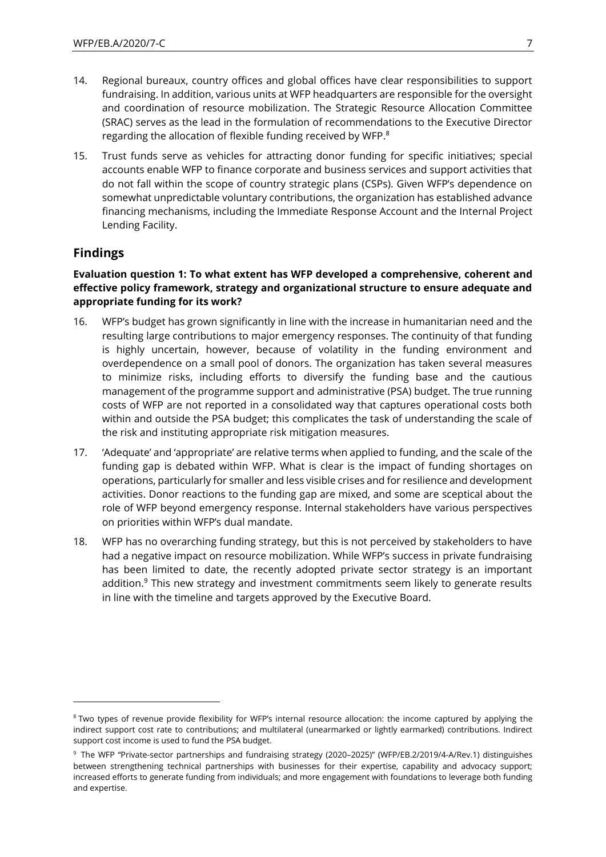- 14. Regional bureaux, country offices and global offices have clear responsibilities to support fundraising. In addition, various units at WFP headquarters are responsible for the oversight and coordination of resource mobilization. The Strategic Resource Allocation Committee (SRAC) serves as the lead in the formulation of recommendations to the Executive Director regarding the allocation of flexible funding received by WFP.<sup>8</sup>
- 15. Trust funds serve as vehicles for attracting donor funding for specific initiatives; special accounts enable WFP to finance corporate and business services and support activities that do not fall within the scope of country strategic plans (CSPs). Given WFP's dependence on somewhat unpredictable voluntary contributions, the organization has established advance financing mechanisms, including the Immediate Response Account and the Internal Project Lending Facility.

## **Findings**

#### **Evaluation question 1: To what extent has WFP developed a comprehensive, coherent and effective policy framework, strategy and organizational structure to ensure adequate and appropriate funding for its work?**

- 16. WFP's budget has grown significantly in line with the increase in humanitarian need and the resulting large contributions to major emergency responses. The continuity of that funding is highly uncertain, however, because of volatility in the funding environment and overdependence on a small pool of donors. The organization has taken several measures to minimize risks, including efforts to diversify the funding base and the cautious management of the programme support and administrative (PSA) budget. The true running costs of WFP are not reported in a consolidated way that captures operational costs both within and outside the PSA budget; this complicates the task of understanding the scale of the risk and instituting appropriate risk mitigation measures.
- 17. 'Adequate' and 'appropriate' are relative terms when applied to funding, and the scale of the funding gap is debated within WFP. What is clear is the impact of funding shortages on operations, particularly for smaller and less visible crises and for resilience and development activities. Donor reactions to the funding gap are mixed, and some are sceptical about the role of WFP beyond emergency response. Internal stakeholders have various perspectives on priorities within WFP's dual mandate.
- 18. WFP has no overarching funding strategy, but this is not perceived by stakeholders to have had a negative impact on resource mobilization. While WFP's success in private fundraising has been limited to date, the recently adopted private sector strategy is an important addition.<sup>9</sup> This new strategy and investment commitments seem likely to generate results in line with the timeline and targets approved by the Executive Board.

<sup>&</sup>lt;sup>8</sup> Two types of revenue provide flexibility for WFP's internal resource allocation: the income captured by applying the indirect support cost rate to contributions; and multilateral (unearmarked or lightly earmarked) contributions. Indirect support cost income is used to fund the PSA budget.

<sup>9</sup> The WFP "Private-sector partnerships and fundraising strategy (2020–2025)" (WFP/EB.2/2019/4-A/Rev.1) distinguishes between strengthening technical partnerships with businesses for their expertise, capability and advocacy support; increased efforts to generate funding from individuals; and more engagement with foundations to leverage both funding and expertise.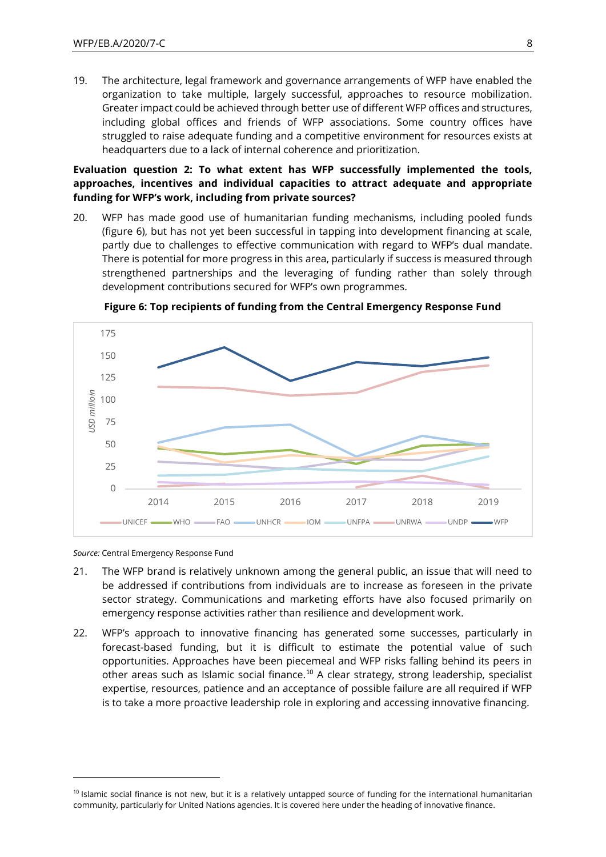19. The architecture, legal framework and governance arrangements of WFP have enabled the organization to take multiple, largely successful, approaches to resource mobilization. Greater impact could be achieved through better use of different WFP offices and structures, including global offices and friends of WFP associations. Some country offices have struggled to raise adequate funding and a competitive environment for resources exists at headquarters due to a lack of internal coherence and prioritization.

**Evaluation question 2: To what extent has WFP successfully implemented the tools, approaches, incentives and individual capacities to attract adequate and appropriate funding for WFP's work, including from private sources?**

20. WFP has made good use of humanitarian funding mechanisms, including pooled funds (figure 6), but has not yet been successful in tapping into development financing at scale, partly due to challenges to effective communication with regard to WFP's dual mandate. There is potential for more progress in this area, particularly if success is measured through strengthened partnerships and the leveraging of funding rather than solely through development contributions secured for WFP's own programmes.



**Figure 6: Top recipients of funding from the Central Emergency Response Fund**

*Source:* Central Emergency Response Fund

- 21. The WFP brand is relatively unknown among the general public, an issue that will need to be addressed if contributions from individuals are to increase as foreseen in the private sector strategy. Communications and marketing efforts have also focused primarily on emergency response activities rather than resilience and development work.
- 22. WFP's approach to innovative financing has generated some successes, particularly in forecast-based funding, but it is difficult to estimate the potential value of such opportunities. Approaches have been piecemeal and WFP risks falling behind its peers in other areas such as Islamic social finance.<sup>10</sup> A clear strategy, strong leadership, specialist expertise, resources, patience and an acceptance of possible failure are all required if WFP is to take a more proactive leadership role in exploring and accessing innovative financing.

 $10$  Islamic social finance is not new, but it is a relatively untapped source of funding for the international humanitarian community, particularly for United Nations agencies. It is covered here under the heading of innovative finance.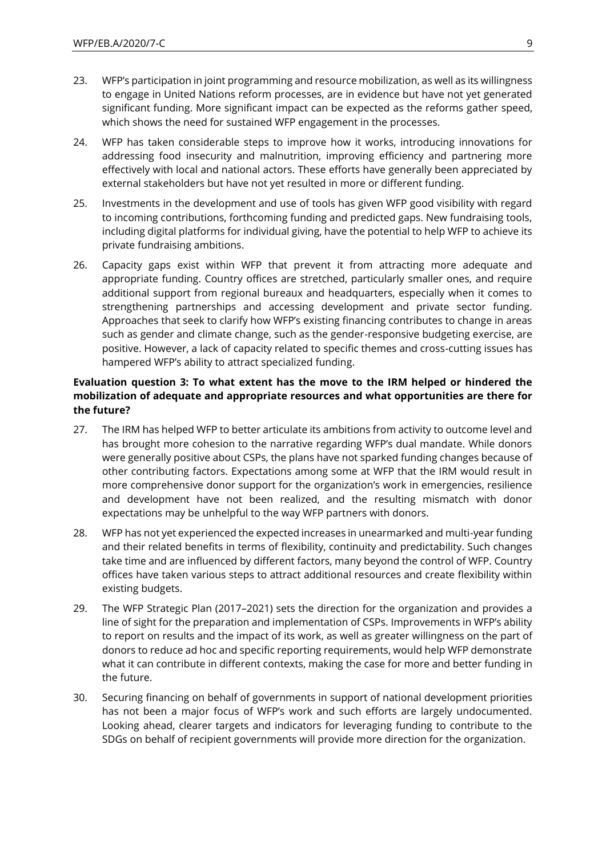- 23. WFP's participation in joint programming and resource mobilization, as well as its willingness to engage in United Nations reform processes, are in evidence but have not yet generated significant funding. More significant impact can be expected as the reforms gather speed, which shows the need for sustained WFP engagement in the processes.
- 24. WFP has taken considerable steps to improve how it works, introducing innovations for addressing food insecurity and malnutrition, improving efficiency and partnering more effectively with local and national actors. These efforts have generally been appreciated by external stakeholders but have not yet resulted in more or different funding.
- 25. Investments in the development and use of tools has given WFP good visibility with regard to incoming contributions, forthcoming funding and predicted gaps. New fundraising tools, including digital platforms for individual giving, have the potential to help WFP to achieve its private fundraising ambitions.
- 26. Capacity gaps exist within WFP that prevent it from attracting more adequate and appropriate funding. Country offices are stretched, particularly smaller ones, and require additional support from regional bureaux and headquarters, especially when it comes to strengthening partnerships and accessing development and private sector funding. Approaches that seek to clarify how WFP's existing financing contributes to change in areas such as gender and climate change, such as the gender-responsive budgeting exercise, are positive. However, a lack of capacity related to specific themes and cross-cutting issues has hampered WFP's ability to attract specialized funding.

#### **Evaluation question 3: To what extent has the move to the IRM helped or hindered the mobilization of adequate and appropriate resources and what opportunities are there for the future?**

- 27. The IRM has helped WFP to better articulate its ambitions from activity to outcome level and has brought more cohesion to the narrative regarding WFP's dual mandate. While donors were generally positive about CSPs, the plans have not sparked funding changes because of other contributing factors. Expectations among some at WFP that the IRM would result in more comprehensive donor support for the organization's work in emergencies, resilience and development have not been realized, and the resulting mismatch with donor expectations may be unhelpful to the way WFP partners with donors.
- 28. WFP has not yet experienced the expected increases in unearmarked and multi-year funding and their related benefits in terms of flexibility, continuity and predictability. Such changes take time and are influenced by different factors, many beyond the control of WFP. Country offices have taken various steps to attract additional resources and create flexibility within existing budgets.
- 29. The WFP Strategic Plan (2017–2021) sets the direction for the organization and provides a line of sight for the preparation and implementation of CSPs. Improvements in WFP's ability to report on results and the impact of its work, as well as greater willingness on the part of donors to reduce ad hoc and specific reporting requirements, would help WFP demonstrate what it can contribute in different contexts, making the case for more and better funding in the future.
- 30. Securing financing on behalf of governments in support of national development priorities has not been a major focus of WFP's work and such efforts are largely undocumented. Looking ahead, clearer targets and indicators for leveraging funding to contribute to the SDGs on behalf of recipient governments will provide more direction for the organization.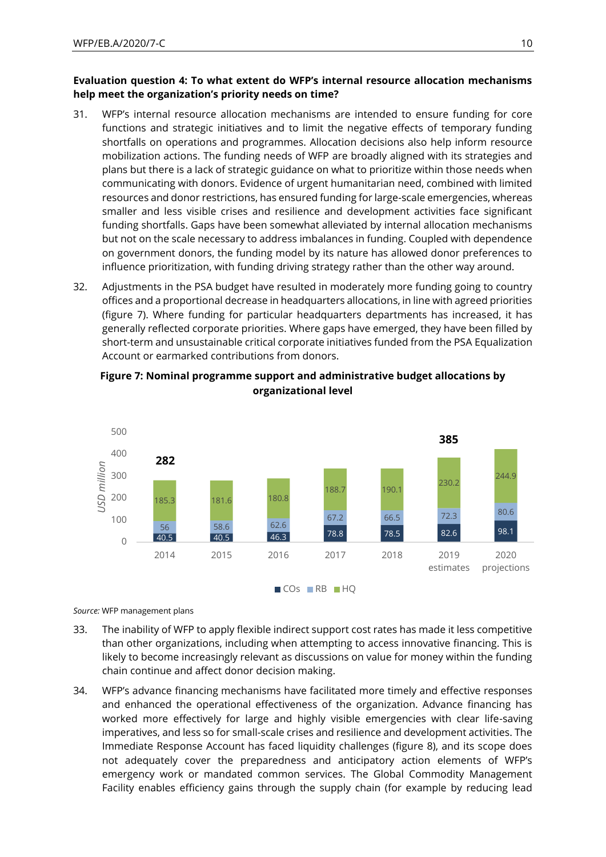#### **Evaluation question 4: To what extent do WFP's internal resource allocation mechanisms help meet the organization's priority needs on time?**

- 31. WFP's internal resource allocation mechanisms are intended to ensure funding for core functions and strategic initiatives and to limit the negative effects of temporary funding shortfalls on operations and programmes. Allocation decisions also help inform resource mobilization actions. The funding needs of WFP are broadly aligned with its strategies and plans but there is a lack of strategic guidance on what to prioritize within those needs when communicating with donors. Evidence of urgent humanitarian need, combined with limited resources and donor restrictions, has ensured funding for large-scale emergencies, whereas smaller and less visible crises and resilience and development activities face significant funding shortfalls. Gaps have been somewhat alleviated by internal allocation mechanisms but not on the scale necessary to address imbalances in funding. Coupled with dependence on government donors, the funding model by its nature has allowed donor preferences to influence prioritization, with funding driving strategy rather than the other way around.
- 32. Adjustments in the PSA budget have resulted in moderately more funding going to country offices and a proportional decrease in headquarters allocations, in line with agreed priorities (figure 7). Where funding for particular headquarters departments has increased, it has generally reflected corporate priorities. Where gaps have emerged, they have been filled by short-term and unsustainable critical corporate initiatives funded from the PSA Equalization Account or earmarked contributions from donors.



### **Figure 7: Nominal programme support and administrative budget allocations by organizational level**

CO<sub>s</sub> RB HQ

*Source:* WFP management plans

- 33. The inability of WFP to apply flexible indirect support cost rates has made it less competitive than other organizations, including when attempting to access innovative financing. This is likely to become increasingly relevant as discussions on value for money within the funding chain continue and affect donor decision making.
- 34. WFP's advance financing mechanisms have facilitated more timely and effective responses and enhanced the operational effectiveness of the organization. Advance financing has worked more effectively for large and highly visible emergencies with clear life-saving imperatives, and less so for small-scale crises and resilience and development activities. The Immediate Response Account has faced liquidity challenges (figure 8), and its scope does not adequately cover the preparedness and anticipatory action elements of WFP's emergency work or mandated common services. The Global Commodity Management Facility enables efficiency gains through the supply chain (for example by reducing lead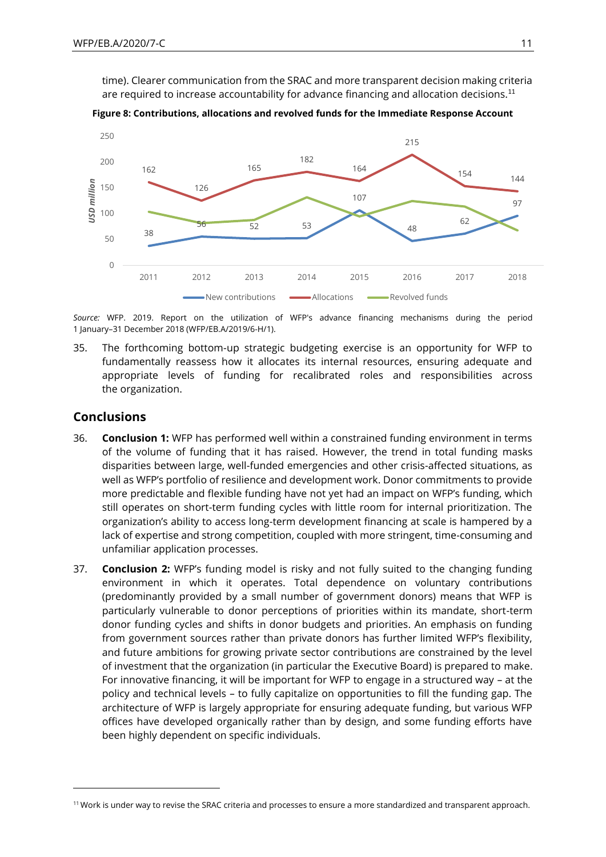time). Clearer communication from the SRAC and more transparent decision making criteria are required to increase accountability for advance financing and allocation decisions.<sup>11</sup>





*Source:* WFP. 2019. Report on the utilization of WFP's advance financing mechanisms during the period 1 January–31 December 2018 (WFP/EB.A/2019/6-H/1).

35. The forthcoming bottom-up strategic budgeting exercise is an opportunity for WFP to fundamentally reassess how it allocates its internal resources, ensuring adequate and appropriate levels of funding for recalibrated roles and responsibilities across the organization.

### **Conclusions**

- 36. **Conclusion 1:** WFP has performed well within a constrained funding environment in terms of the volume of funding that it has raised. However, the trend in total funding masks disparities between large, well-funded emergencies and other crisis-affected situations, as well as WFP's portfolio of resilience and development work. Donor commitments to provide more predictable and flexible funding have not yet had an impact on WFP's funding, which still operates on short-term funding cycles with little room for internal prioritization. The organization's ability to access long-term development financing at scale is hampered by a lack of expertise and strong competition, coupled with more stringent, time-consuming and unfamiliar application processes.
- 37. **Conclusion 2:** WFP's funding model is risky and not fully suited to the changing funding environment in which it operates. Total dependence on voluntary contributions (predominantly provided by a small number of government donors) means that WFP is particularly vulnerable to donor perceptions of priorities within its mandate, short-term donor funding cycles and shifts in donor budgets and priorities. An emphasis on funding from government sources rather than private donors has further limited WFP's flexibility, and future ambitions for growing private sector contributions are constrained by the level of investment that the organization (in particular the Executive Board) is prepared to make. For innovative financing, it will be important for WFP to engage in a structured way – at the policy and technical levels – to fully capitalize on opportunities to fill the funding gap. The architecture of WFP is largely appropriate for ensuring adequate funding, but various WFP offices have developed organically rather than by design, and some funding efforts have been highly dependent on specific individuals.

<sup>&</sup>lt;sup>11</sup> Work is under way to revise the SRAC criteria and processes to ensure a more standardized and transparent approach.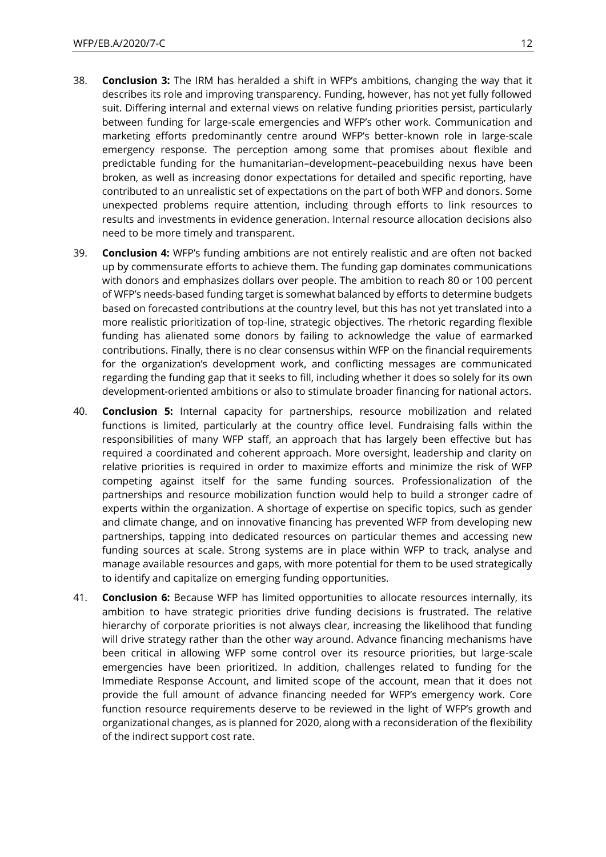- 38. **Conclusion 3:** The IRM has heralded a shift in WFP's ambitions, changing the way that it describes its role and improving transparency. Funding, however, has not yet fully followed suit. Differing internal and external views on relative funding priorities persist, particularly between funding for large-scale emergencies and WFP's other work. Communication and marketing efforts predominantly centre around WFP's better-known role in large-scale emergency response. The perception among some that promises about flexible and predictable funding for the humanitarian–development–peacebuilding nexus have been broken, as well as increasing donor expectations for detailed and specific reporting, have contributed to an unrealistic set of expectations on the part of both WFP and donors. Some unexpected problems require attention, including through efforts to link resources to results and investments in evidence generation. Internal resource allocation decisions also need to be more timely and transparent.
- 39. **Conclusion 4:** WFP's funding ambitions are not entirely realistic and are often not backed up by commensurate efforts to achieve them. The funding gap dominates communications with donors and emphasizes dollars over people. The ambition to reach 80 or 100 percent of WFP's needs-based funding target is somewhat balanced by efforts to determine budgets based on forecasted contributions at the country level, but this has not yet translated into a more realistic prioritization of top-line, strategic objectives. The rhetoric regarding flexible funding has alienated some donors by failing to acknowledge the value of earmarked contributions. Finally, there is no clear consensus within WFP on the financial requirements for the organization's development work, and conflicting messages are communicated regarding the funding gap that it seeks to fill, including whether it does so solely for its own development-oriented ambitions or also to stimulate broader financing for national actors.
- 40. **Conclusion 5:** Internal capacity for partnerships, resource mobilization and related functions is limited, particularly at the country office level. Fundraising falls within the responsibilities of many WFP staff, an approach that has largely been effective but has required a coordinated and coherent approach. More oversight, leadership and clarity on relative priorities is required in order to maximize efforts and minimize the risk of WFP competing against itself for the same funding sources. Professionalization of the partnerships and resource mobilization function would help to build a stronger cadre of experts within the organization. A shortage of expertise on specific topics, such as gender and climate change, and on innovative financing has prevented WFP from developing new partnerships, tapping into dedicated resources on particular themes and accessing new funding sources at scale. Strong systems are in place within WFP to track, analyse and manage available resources and gaps, with more potential for them to be used strategically to identify and capitalize on emerging funding opportunities.
- 41. **Conclusion 6:** Because WFP has limited opportunities to allocate resources internally, its ambition to have strategic priorities drive funding decisions is frustrated. The relative hierarchy of corporate priorities is not always clear, increasing the likelihood that funding will drive strategy rather than the other way around. Advance financing mechanisms have been critical in allowing WFP some control over its resource priorities, but large-scale emergencies have been prioritized. In addition, challenges related to funding for the Immediate Response Account, and limited scope of the account, mean that it does not provide the full amount of advance financing needed for WFP's emergency work. Core function resource requirements deserve to be reviewed in the light of WFP's growth and organizational changes, as is planned for 2020, along with a reconsideration of the flexibility of the indirect support cost rate.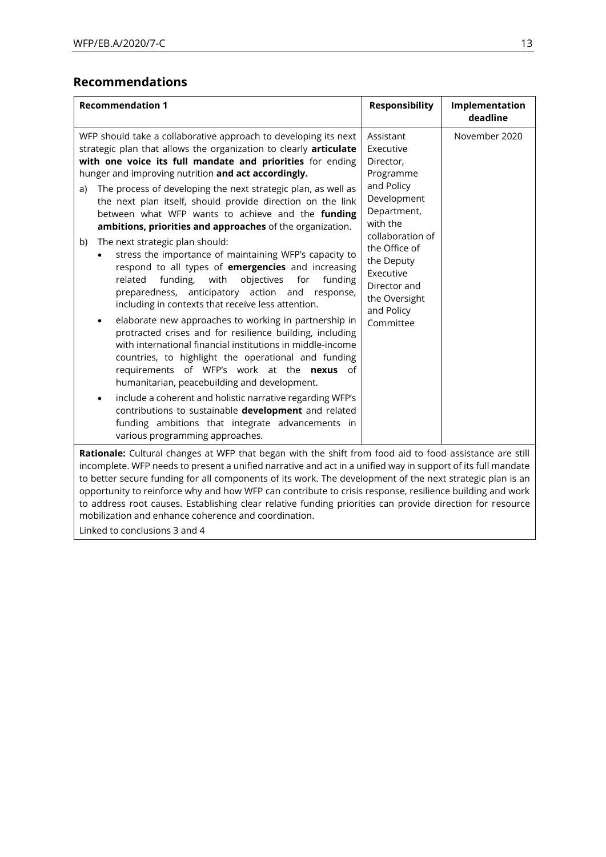# **Recommendations**

| <b>Recommendation 1</b>                                                                                                                                                                                                                                                                                                                                                                                                                                                                                                                                                                                                                                                                                                                                                                                                                                                                                                                                                                                                                                                                                                                                                                                                                                                                                                                                                                                                    | <b>Responsibility</b>                                                                                                                                                                                                                | Implementation<br>deadline |
|----------------------------------------------------------------------------------------------------------------------------------------------------------------------------------------------------------------------------------------------------------------------------------------------------------------------------------------------------------------------------------------------------------------------------------------------------------------------------------------------------------------------------------------------------------------------------------------------------------------------------------------------------------------------------------------------------------------------------------------------------------------------------------------------------------------------------------------------------------------------------------------------------------------------------------------------------------------------------------------------------------------------------------------------------------------------------------------------------------------------------------------------------------------------------------------------------------------------------------------------------------------------------------------------------------------------------------------------------------------------------------------------------------------------------|--------------------------------------------------------------------------------------------------------------------------------------------------------------------------------------------------------------------------------------|----------------------------|
| WFP should take a collaborative approach to developing its next<br>strategic plan that allows the organization to clearly articulate<br>with one voice its full mandate and priorities for ending<br>hunger and improving nutrition and act accordingly.<br>The process of developing the next strategic plan, as well as<br>a)<br>the next plan itself, should provide direction on the link<br>between what WFP wants to achieve and the funding<br>ambitions, priorities and approaches of the organization.<br>The next strategic plan should:<br>b)<br>stress the importance of maintaining WFP's capacity to<br>respond to all types of emergencies and increasing<br>objectives<br>funding,<br>with<br>for<br>funding<br>related<br>anticipatory action<br>preparedness,<br>and<br>response,<br>including in contexts that receive less attention.<br>elaborate new approaches to working in partnership in<br>$\bullet$<br>protracted crises and for resilience building, including<br>with international financial institutions in middle-income<br>countries, to highlight the operational and funding<br>requirements of WFP's work at the nexus of<br>humanitarian, peacebuilding and development.<br>include a coherent and holistic narrative regarding WFP's<br>contributions to sustainable development and related<br>funding ambitions that integrate advancements in<br>various programming approaches. | Assistant<br>Executive<br>Director,<br>Programme<br>and Policy<br>Development<br>Department,<br>with the<br>collaboration of<br>the Office of<br>the Deputy<br>Executive<br>Director and<br>the Oversight<br>and Policy<br>Committee | November 2020              |
| Rationale: Cultural changes at WFP that began with the shift from food aid to food assistance are still<br>incomplete. WFP needs to present a unified narrative and act in a unified way in support of its full mandate<br>to better secure funding for all components of its work. The development of the next strategic plan is an<br>opportunity to reinforce why and how WFP can contribute to crisis response, resilience building and work<br>to address root causes. Establishing clear relative funding priorities can provide direction for resource<br>mobilization and enhance coherence and coordination.                                                                                                                                                                                                                                                                                                                                                                                                                                                                                                                                                                                                                                                                                                                                                                                                      |                                                                                                                                                                                                                                      |                            |

Linked to conclusions 3 and 4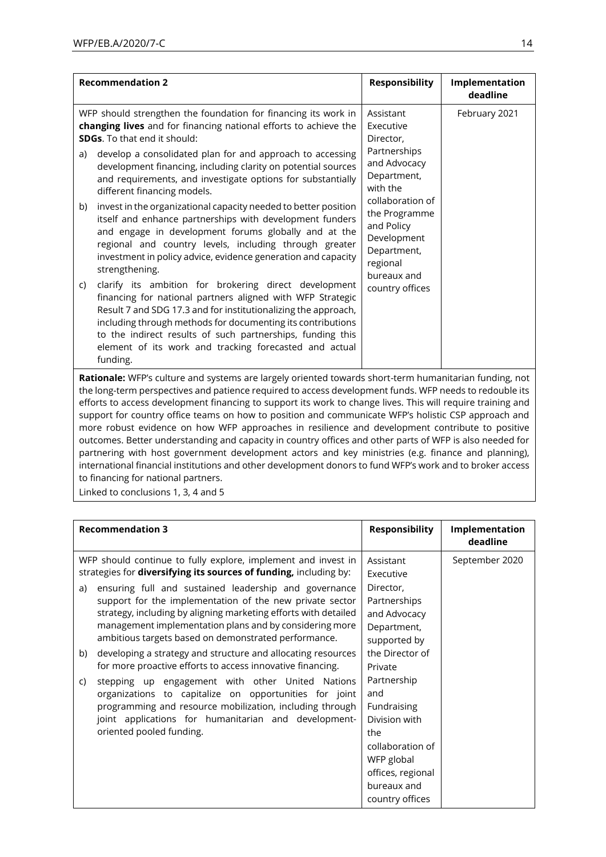| <b>Recommendation 2</b>                                                                                                                                                                                                                                                                                                                                                                                                                                                                                                                                                                                                                                                                                                                                                                                               | <b>Responsibility</b>                                                                                                                                                                                                         | Implementation<br>deadline |
|-----------------------------------------------------------------------------------------------------------------------------------------------------------------------------------------------------------------------------------------------------------------------------------------------------------------------------------------------------------------------------------------------------------------------------------------------------------------------------------------------------------------------------------------------------------------------------------------------------------------------------------------------------------------------------------------------------------------------------------------------------------------------------------------------------------------------|-------------------------------------------------------------------------------------------------------------------------------------------------------------------------------------------------------------------------------|----------------------------|
| WFP should strengthen the foundation for financing its work in<br>changing lives and for financing national efforts to achieve the<br><b>SDGs</b> . To that end it should:<br>develop a consolidated plan for and approach to accessing<br>a)<br>development financing, including clarity on potential sources<br>and requirements, and investigate options for substantially<br>different financing models.<br>invest in the organizational capacity needed to better position<br>b)<br>itself and enhance partnerships with development funders<br>and engage in development forums globally and at the<br>regional and country levels, including through greater<br>investment in policy advice, evidence generation and capacity<br>strengthening.<br>clarify its ambition for brokering direct development<br>C) | Assistant<br>Executive<br>Director,<br>Partnerships<br>and Advocacy<br>Department,<br>with the<br>collaboration of<br>the Programme<br>and Policy<br>Development<br>Department,<br>regional<br>bureaux and<br>country offices | February 2021              |
| financing for national partners aligned with WFP Strategic<br>Result 7 and SDG 17.3 and for institutionalizing the approach,<br>including through methods for documenting its contributions<br>to the indirect results of such partnerships, funding this<br>element of its work and tracking forecasted and actual<br>funding.                                                                                                                                                                                                                                                                                                                                                                                                                                                                                       |                                                                                                                                                                                                                               |                            |
| Rationale: WFP's culture and systems are largely oriented towards short-term humanitarian funding, not<br>the long-term perspectives and patience required to access development funds. WFP needs to redouble its                                                                                                                                                                                                                                                                                                                                                                                                                                                                                                                                                                                                     |                                                                                                                                                                                                                               |                            |

the long-term perspectives and patience required to access development funds. WFP needs to redouble its efforts to access development financing to support its work to change lives. This will require training and support for country office teams on how to position and communicate WFP's holistic CSP approach and more robust evidence on how WFP approaches in resilience and development contribute to positive outcomes. Better understanding and capacity in country offices and other parts of WFP is also needed for partnering with host government development actors and key ministries (e.g. finance and planning), international financial institutions and other development donors to fund WFP's work and to broker access to financing for national partners.

Linked to conclusions 1, 3, 4 and 5

| <b>Recommendation 3</b>                                                                                                                                                                                                                                                                                                                                                                                                                                                                                                                                                                 | <b>Responsibility</b>                                                                                                                              | Implementation<br>deadline |
|-----------------------------------------------------------------------------------------------------------------------------------------------------------------------------------------------------------------------------------------------------------------------------------------------------------------------------------------------------------------------------------------------------------------------------------------------------------------------------------------------------------------------------------------------------------------------------------------|----------------------------------------------------------------------------------------------------------------------------------------------------|----------------------------|
| WFP should continue to fully explore, implement and invest in<br>strategies for diversifying its sources of funding, including by:<br>ensuring full and sustained leadership and governance<br>a)<br>support for the implementation of the new private sector<br>strategy, including by aligning marketing efforts with detailed<br>management implementation plans and by considering more<br>ambitious targets based on demonstrated performance.<br>developing a strategy and structure and allocating resources<br>b)<br>for more proactive efforts to access innovative financing. | Assistant<br>Executive<br>Director,<br>Partnerships<br>and Advocacy<br>Department,<br>supported by<br>the Director of<br>Private                   | September 2020             |
| stepping up engagement with other United Nations<br>C)<br>organizations to capitalize on opportunities for joint<br>programming and resource mobilization, including through<br>joint applications for humanitarian and development-<br>oriented pooled funding.                                                                                                                                                                                                                                                                                                                        | Partnership<br>and<br>Fundraising<br>Division with<br>the<br>collaboration of<br>WFP global<br>offices, regional<br>bureaux and<br>country offices |                            |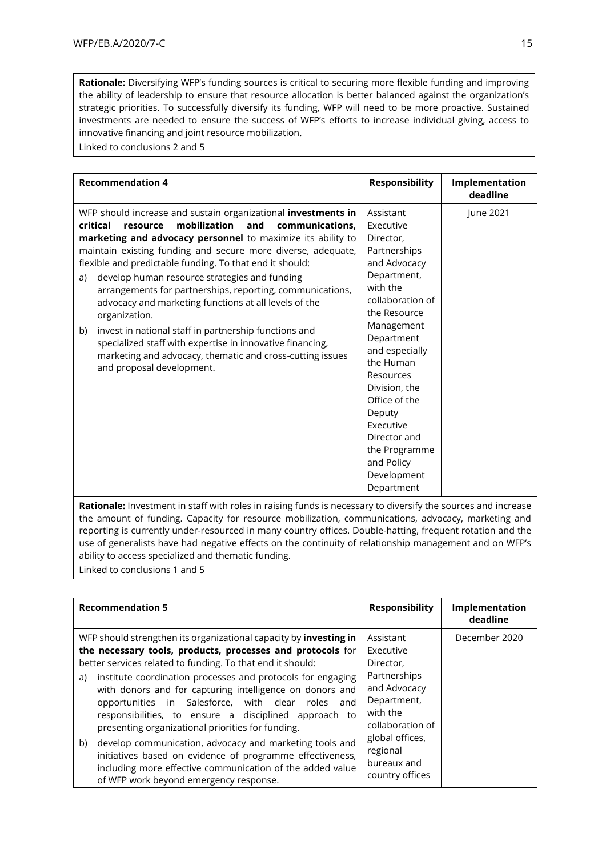**Rationale:** Diversifying WFP's funding sources is critical to securing more flexible funding and improving the ability of leadership to ensure that resource allocation is better balanced against the organization's strategic priorities. To successfully diversify its funding, WFP will need to be more proactive. Sustained investments are needed to ensure the success of WFP's efforts to increase individual giving, access to innovative financing and joint resource mobilization.

Linked to conclusions 2 and 5

| <b>Recommendation 4</b>                                                                                                                                                                                                                                                                                                                                                                                                                                                                                                                                                                                                                                                                                                                        | <b>Responsibility</b>                                                                                                                                                                                                                                                                                                                           | Implementation<br>deadline |
|------------------------------------------------------------------------------------------------------------------------------------------------------------------------------------------------------------------------------------------------------------------------------------------------------------------------------------------------------------------------------------------------------------------------------------------------------------------------------------------------------------------------------------------------------------------------------------------------------------------------------------------------------------------------------------------------------------------------------------------------|-------------------------------------------------------------------------------------------------------------------------------------------------------------------------------------------------------------------------------------------------------------------------------------------------------------------------------------------------|----------------------------|
| WFP should increase and sustain organizational investments in<br>mobilization<br>critical<br>and<br>resource<br>communications.<br>marketing and advocacy personnel to maximize its ability to<br>maintain existing funding and secure more diverse, adequate,<br>flexible and predictable funding. To that end it should:<br>develop human resource strategies and funding<br>a)<br>arrangements for partnerships, reporting, communications,<br>advocacy and marketing functions at all levels of the<br>organization.<br>invest in national staff in partnership functions and<br>b)<br>specialized staff with expertise in innovative financing,<br>marketing and advocacy, thematic and cross-cutting issues<br>and proposal development. | Assistant<br>Executive<br>Director,<br>Partnerships<br>and Advocacy<br>Department,<br>with the<br>collaboration of<br>the Resource<br>Management<br>Department<br>and especially<br>the Human<br>Resources<br>Division, the<br>Office of the<br>Deputy<br>Executive<br>Director and<br>the Programme<br>and Policy<br>Development<br>Department | June 2021                  |

**Rationale:** Investment in staff with roles in raising funds is necessary to diversify the sources and increase the amount of funding. Capacity for resource mobilization, communications, advocacy, marketing and reporting is currently under-resourced in many country offices. Double-hatting, frequent rotation and the use of generalists have had negative effects on the continuity of relationship management and on WFP's ability to access specialized and thematic funding.

Linked to conclusions 1 and 5

| <b>Recommendation 5</b>                                                                                                                                                                                                                                                                                | <b>Responsibility</b>                                                       | Implementation<br>deadline |
|--------------------------------------------------------------------------------------------------------------------------------------------------------------------------------------------------------------------------------------------------------------------------------------------------------|-----------------------------------------------------------------------------|----------------------------|
| WFP should strengthen its organizational capacity by investing in<br>the necessary tools, products, processes and protocols for<br>better services related to funding. To that end it should:                                                                                                          | Assistant<br>Executive<br>Director,                                         | December 2020              |
| institute coordination processes and protocols for engaging<br>a)<br>with donors and for capturing intelligence on donors and<br>opportunities in Salesforce, with clear<br>roles<br>and<br>responsibilities, to ensure a disciplined approach to<br>presenting organizational priorities for funding. | Partnerships<br>and Advocacy<br>Department,<br>with the<br>collaboration of |                            |
| develop communication, advocacy and marketing tools and<br>b)<br>initiatives based on evidence of programme effectiveness,<br>including more effective communication of the added value<br>of WFP work beyond emergency response.                                                                      | global offices,<br>regional<br>bureaux and<br>country offices               |                            |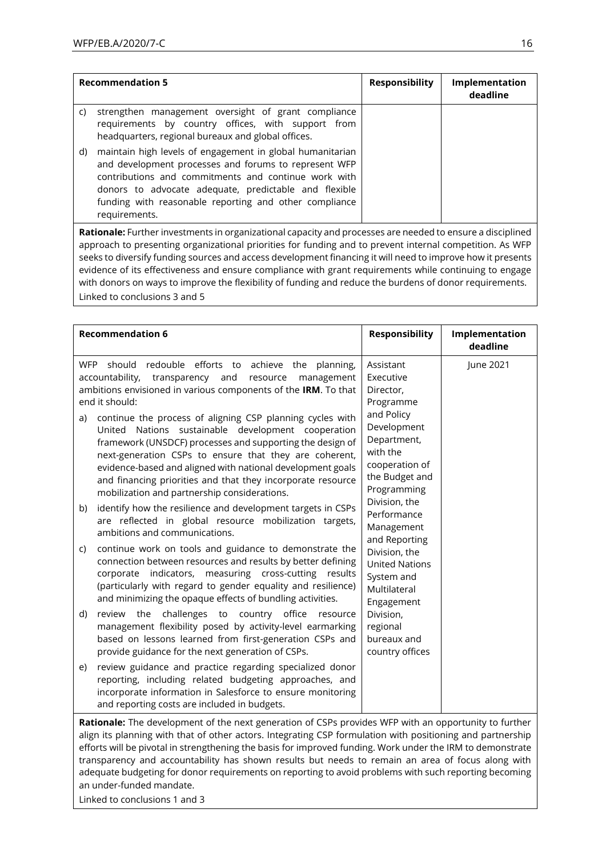| <b>Recommendation 5</b>                                                                                                                                                                                                                                                                                              | <b>Responsibility</b> | Implementation<br>deadline |
|----------------------------------------------------------------------------------------------------------------------------------------------------------------------------------------------------------------------------------------------------------------------------------------------------------------------|-----------------------|----------------------------|
| strengthen management oversight of grant compliance<br>C)<br>requirements by country offices, with support from<br>headquarters, regional bureaux and global offices.                                                                                                                                                |                       |                            |
| maintain high levels of engagement in global humanitarian<br>d)<br>and development processes and forums to represent WFP<br>contributions and commitments and continue work with<br>donors to advocate adequate, predictable and flexible<br>funding with reasonable reporting and other compliance<br>requirements. |                       |                            |

**Rationale:** Further investments in organizational capacity and processes are needed to ensure a disciplined approach to presenting organizational priorities for funding and to prevent internal competition. As WFP seeks to diversify funding sources and access development financing it will need to improve how it presents evidence of its effectiveness and ensure compliance with grant requirements while continuing to engage with donors on ways to improve the flexibility of funding and reduce the burdens of donor requirements. Linked to conclusions 3 and 5

| <b>Recommendation 6</b>                                                                                                                                                                                                                                                                                                                                                                                                                                                                                                                                                                                                                          | <b>Responsibility</b>                                                                                                                                                        | Implementation<br>deadline |
|--------------------------------------------------------------------------------------------------------------------------------------------------------------------------------------------------------------------------------------------------------------------------------------------------------------------------------------------------------------------------------------------------------------------------------------------------------------------------------------------------------------------------------------------------------------------------------------------------------------------------------------------------|------------------------------------------------------------------------------------------------------------------------------------------------------------------------------|----------------------------|
| should redouble efforts to achieve the planning,<br><b>WFP</b><br>accountability,<br>transparency and<br>resource<br>management<br>ambitions envisioned in various components of the IRM. To that<br>end it should:<br>continue the process of aligning CSP planning cycles with<br>a)<br>United Nations sustainable development cooperation<br>framework (UNSDCF) processes and supporting the design of<br>next-generation CSPs to ensure that they are coherent,<br>evidence-based and aligned with national development goals<br>and financing priorities and that they incorporate resource<br>mobilization and partnership considerations. | Assistant<br>Executive<br>Director,<br>Programme<br>and Policy<br>Development<br>Department,<br>with the<br>cooperation of<br>the Budget and<br>Programming<br>Division, the | June 2021                  |
| identify how the resilience and development targets in CSPs<br>b)<br>are reflected in global resource mobilization targets,<br>ambitions and communications.                                                                                                                                                                                                                                                                                                                                                                                                                                                                                     | Performance<br>Management<br>and Reporting                                                                                                                                   |                            |
| continue work on tools and guidance to demonstrate the<br>C)<br>connection between resources and results by better defining<br>corporate indicators, measuring cross-cutting results<br>(particularly with regard to gender equality and resilience)<br>and minimizing the opaque effects of bundling activities.                                                                                                                                                                                                                                                                                                                                | Division, the<br><b>United Nations</b><br>System and<br>Multilateral<br>Engagement                                                                                           |                            |
| challenges to country office<br>d)<br>review the<br>resource<br>management flexibility posed by activity-level earmarking<br>based on lessons learned from first-generation CSPs and<br>provide guidance for the next generation of CSPs.                                                                                                                                                                                                                                                                                                                                                                                                        | Division,<br>regional<br>bureaux and<br>country offices                                                                                                                      |                            |
| review guidance and practice regarding specialized donor<br>e)<br>reporting, including related budgeting approaches, and<br>incorporate information in Salesforce to ensure monitoring<br>and reporting costs are included in budgets.                                                                                                                                                                                                                                                                                                                                                                                                           |                                                                                                                                                                              |                            |

**Rationale:** The development of the next generation of CSPs provides WFP with an opportunity to further align its planning with that of other actors. Integrating CSP formulation with positioning and partnership efforts will be pivotal in strengthening the basis for improved funding. Work under the IRM to demonstrate transparency and accountability has shown results but needs to remain an area of focus along with adequate budgeting for donor requirements on reporting to avoid problems with such reporting becoming an under-funded mandate.

Linked to conclusions 1 and 3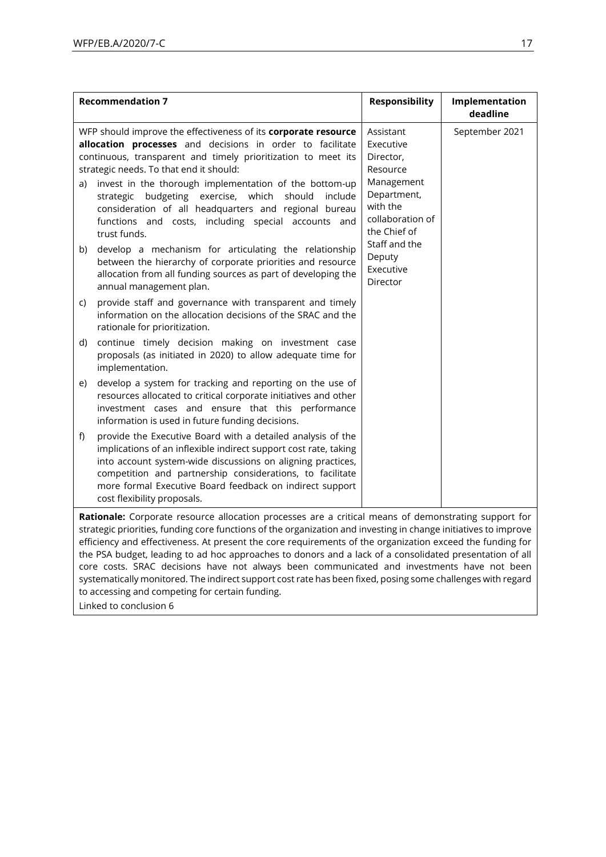|    | <b>Recommendation 7</b>                                                                                                                                                                                                                                                                                                                                                                                                                                                                       | <b>Responsibility</b>                                                                                                        | Implementation<br>deadline |
|----|-----------------------------------------------------------------------------------------------------------------------------------------------------------------------------------------------------------------------------------------------------------------------------------------------------------------------------------------------------------------------------------------------------------------------------------------------------------------------------------------------|------------------------------------------------------------------------------------------------------------------------------|----------------------------|
| a) | WFP should improve the effectiveness of its corporate resource<br>allocation processes and decisions in order to facilitate<br>continuous, transparent and timely prioritization to meet its<br>strategic needs. To that end it should:<br>invest in the thorough implementation of the bottom-up<br>strategic budgeting exercise, which<br>should<br>include<br>consideration of all headquarters and regional bureau<br>functions and costs, including special accounts and<br>trust funds. | Assistant<br>Executive<br>Director,<br>Resource<br>Management<br>Department,<br>with the<br>collaboration of<br>the Chief of | September 2021             |
| b) | develop a mechanism for articulating the relationship<br>between the hierarchy of corporate priorities and resource<br>allocation from all funding sources as part of developing the<br>annual management plan.                                                                                                                                                                                                                                                                               | Staff and the<br>Deputy<br>Executive<br>Director                                                                             |                            |
| C) | provide staff and governance with transparent and timely<br>information on the allocation decisions of the SRAC and the<br>rationale for prioritization.                                                                                                                                                                                                                                                                                                                                      |                                                                                                                              |                            |
| d) | continue timely decision making on investment case<br>proposals (as initiated in 2020) to allow adequate time for<br>implementation.                                                                                                                                                                                                                                                                                                                                                          |                                                                                                                              |                            |
| e) | develop a system for tracking and reporting on the use of<br>resources allocated to critical corporate initiatives and other<br>investment cases and ensure that this performance<br>information is used in future funding decisions.                                                                                                                                                                                                                                                         |                                                                                                                              |                            |
| f) | provide the Executive Board with a detailed analysis of the<br>implications of an inflexible indirect support cost rate, taking<br>into account system-wide discussions on aligning practices,<br>competition and partnership considerations, to facilitate<br>more formal Executive Board feedback on indirect support<br>cost flexibility proposals.                                                                                                                                        |                                                                                                                              |                            |
|    | Rationale: Corporate resource allocation processes are a critical means of demonstrating support for<br>strategic priorities, funding core functions of the organization and investing in change initiatives to improve                                                                                                                                                                                                                                                                       |                                                                                                                              |                            |

strategic priorities, funding core functions of the organization and investing in change initiatives to improve efficiency and effectiveness. At present the core requirements of the organization exceed the funding for the PSA budget, leading to ad hoc approaches to donors and a lack of a consolidated presentation of all core costs. SRAC decisions have not always been communicated and investments have not been systematically monitored. The indirect support cost rate has been fixed, posing some challenges with regard to accessing and competing for certain funding.

Linked to conclusion 6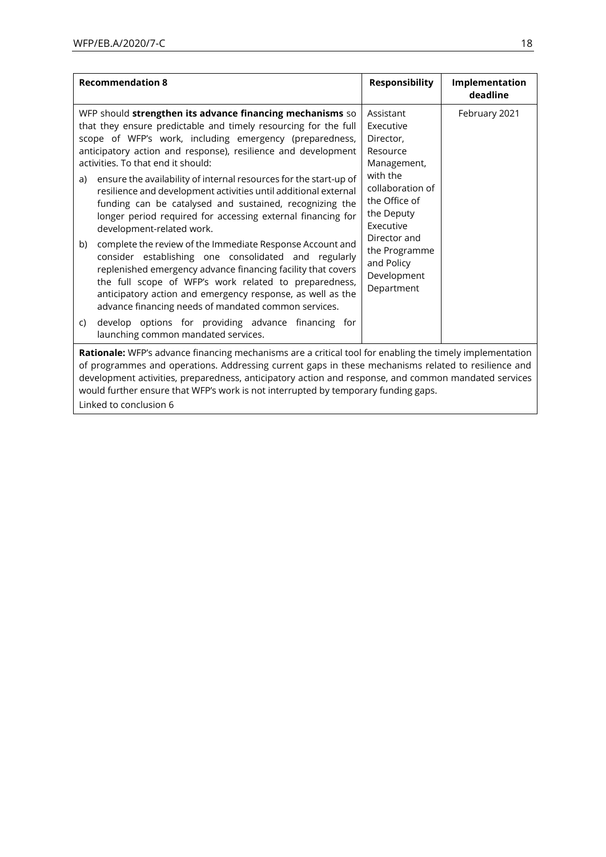| <b>Recommendation 8</b>                                                                                                                                                                                                                                                                                                                                                                                                                                                                                                                                                                                                                                                                                                                                                                                                                                                                                                                                                       | <b>Responsibility</b>                                                                                                                                                                                                  | Implementation<br>deadline |
|-------------------------------------------------------------------------------------------------------------------------------------------------------------------------------------------------------------------------------------------------------------------------------------------------------------------------------------------------------------------------------------------------------------------------------------------------------------------------------------------------------------------------------------------------------------------------------------------------------------------------------------------------------------------------------------------------------------------------------------------------------------------------------------------------------------------------------------------------------------------------------------------------------------------------------------------------------------------------------|------------------------------------------------------------------------------------------------------------------------------------------------------------------------------------------------------------------------|----------------------------|
| WFP should strengthen its advance financing mechanisms so<br>that they ensure predictable and timely resourcing for the full<br>scope of WFP's work, including emergency (preparedness,<br>anticipatory action and response), resilience and development<br>activities. To that end it should:<br>ensure the availability of internal resources for the start-up of<br>a)<br>resilience and development activities until additional external<br>funding can be catalysed and sustained, recognizing the<br>longer period required for accessing external financing for<br>development-related work.<br>complete the review of the Immediate Response Account and<br>b)<br>consider establishing one consolidated and regularly<br>replenished emergency advance financing facility that covers<br>the full scope of WFP's work related to preparedness,<br>anticipatory action and emergency response, as well as the<br>advance financing needs of mandated common services. | Assistant<br>Executive<br>Director.<br>Resource<br>Management,<br>with the<br>collaboration of<br>the Office of<br>the Deputy<br>Executive<br>Director and<br>the Programme<br>and Policy<br>Development<br>Department | February 2021              |
| develop options for providing advance financing for<br>C)<br>launching common mandated services.                                                                                                                                                                                                                                                                                                                                                                                                                                                                                                                                                                                                                                                                                                                                                                                                                                                                              |                                                                                                                                                                                                                        |                            |
| Rationale: WFP's advance financing mechanisms are a critical tool for enabling the timely implementation<br>of programmes and operations. Addressing current gaps in these mechanisms related to resilience and<br>development activities, preparedness, anticipatory action and response, and common mandated services<br>would further ensure that WFP's work is not interrupted by temporary funding gaps.                                                                                                                                                                                                                                                                                                                                                                                                                                                                                                                                                                 |                                                                                                                                                                                                                        |                            |

Linked to conclusion 6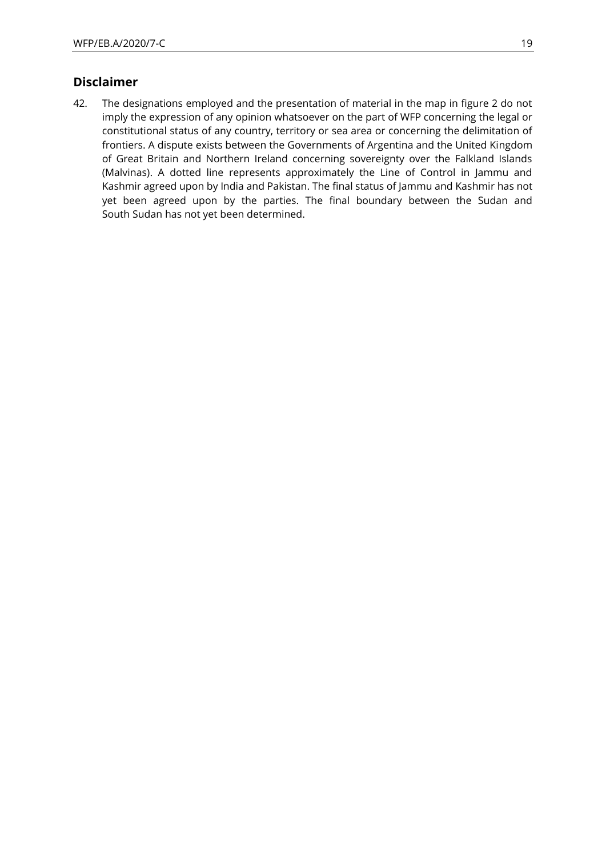### **Disclaimer**

42. The designations employed and the presentation of material in the map in figure 2 do not imply the expression of any opinion whatsoever on the part of WFP concerning the legal or constitutional status of any country, territory or sea area or concerning the delimitation of frontiers. A dispute exists between the Governments of Argentina and the United Kingdom of Great Britain and Northern Ireland concerning sovereignty over the Falkland Islands (Malvinas). A dotted line represents approximately the Line of Control in Jammu and Kashmir agreed upon by India and Pakistan. The final status of Jammu and Kashmir has not yet been agreed upon by the parties. The final boundary between the Sudan and South Sudan has not yet been determined.